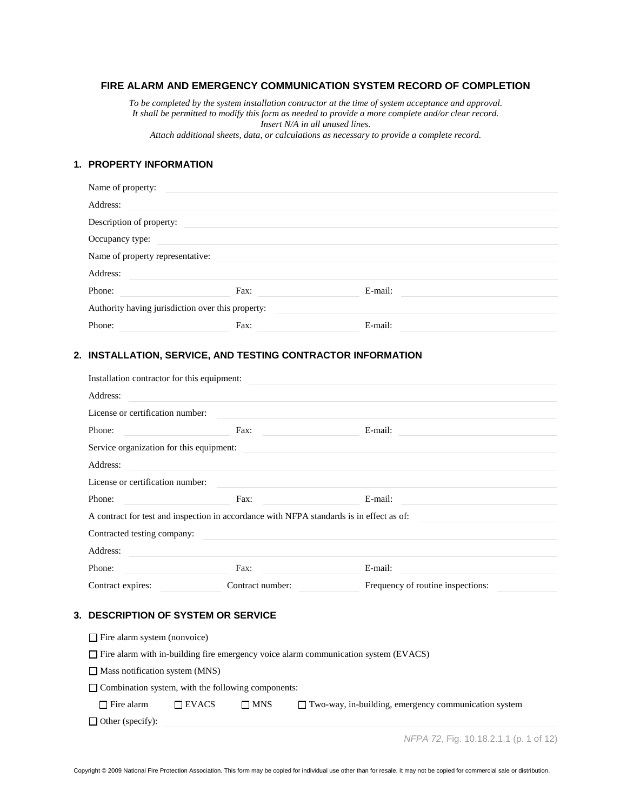# **FIRE ALARM AND EMERGENCY COMMUNICATION SYSTEM RECORD OF COMPLETION**

*To be completed by the system installation contractor at the time of system acceptance and approval. It shall be permitted to modify this form as needed to provide a more complete and/or clear record. Insert N/A in all unused lines.*

*Attach additional sheets, data, or calculations as necessary to provide a complete record.*

# **1. PROPERTY INFORMATION**

| Name of property:                |                                                   |         |  |
|----------------------------------|---------------------------------------------------|---------|--|
| Address:                         |                                                   |         |  |
| Description of property:         |                                                   |         |  |
| Occupancy type:                  |                                                   |         |  |
| Name of property representative: |                                                   |         |  |
| Address:                         |                                                   |         |  |
| Phone:                           | Fax:                                              | E-mail: |  |
|                                  | Authority having jurisdiction over this property: |         |  |
| Phone:                           | Fax:                                              | E-mail: |  |

#### **2. INSTALLATION, SERVICE, AND TESTING CONTRACTOR INFORMATION**

| Installation contractor for this equipment:                                                                                   |                                                |                                   |
|-------------------------------------------------------------------------------------------------------------------------------|------------------------------------------------|-----------------------------------|
| Address:                                                                                                                      |                                                |                                   |
| License or certification number:                                                                                              |                                                |                                   |
| Phone:<br><b>Contract Contract Contract</b>                                                                                   | Fax:                                           | E-mail:                           |
| Service organization for this equipment:                                                                                      |                                                |                                   |
| Address:                                                                                                                      |                                                |                                   |
| License or certification number:                                                                                              |                                                |                                   |
| Phone:<br><u> 1990 - Jan Barbara Barat, politik eta politik eta politik eta politik eta politik eta politik eta politik e</u> | Fax:<br><u> 1990 - Jan Barbara a Barbara a</u> | E-mail:                           |
| A contract for test and inspection in accordance with NFPA standards is in effect as of:                                      |                                                |                                   |
| Contracted testing company:                                                                                                   |                                                |                                   |
| Address:                                                                                                                      |                                                |                                   |
| Phone:                                                                                                                        | Fax:                                           | E-mail:                           |
| Contract expires:                                                                                                             | Contract number:                               | Frequency of routine inspections: |

### **3. DESCRIPTION OF SYSTEM OR SERVICE**

| $\Box$ Fire alarm system (nonvoice)                                                        |              |            |                                                             |  |
|--------------------------------------------------------------------------------------------|--------------|------------|-------------------------------------------------------------|--|
| $\Box$ Fire alarm with in-building fire emergency voice alarm communication system (EVACS) |              |            |                                                             |  |
| $\Box$ Mass notification system (MNS)                                                      |              |            |                                                             |  |
| $\Box$ Combination system, with the following components:                                  |              |            |                                                             |  |
| $\Box$ Fire alarm                                                                          | $\Box$ EVACS | $\Box$ MNS | $\Box$ Two-way, in-building, emergency communication system |  |
| $\Box$ Other (specify):                                                                    |              |            |                                                             |  |
|                                                                                            |              |            |                                                             |  |

*NFPA 72*, Fig. 10.18.2.1.1 (p. 1 of 12)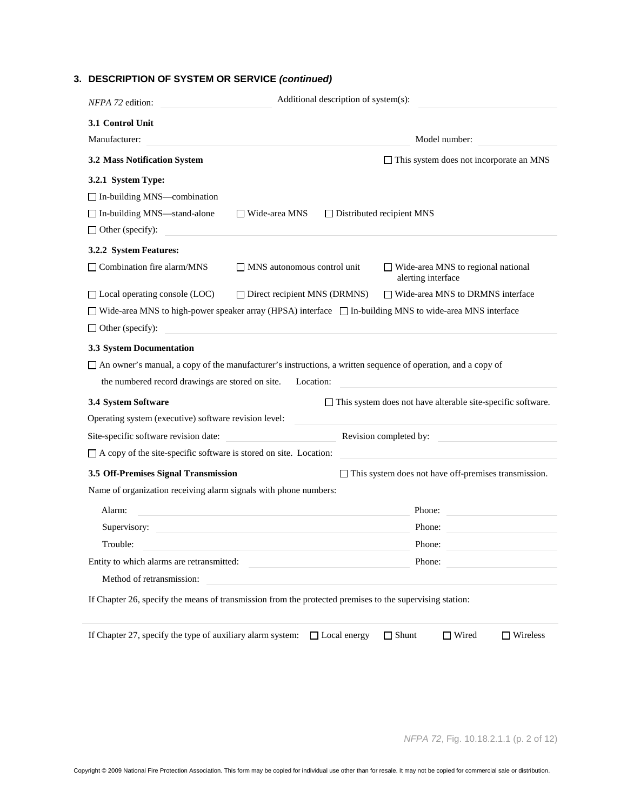# **3. DESCRIPTION OF SYSTEM OR SERVICE** *(continued)*

| NFPA 72 edition:                                                                                                    |                                     | Additional description of system(s): |                                                                    |
|---------------------------------------------------------------------------------------------------------------------|-------------------------------------|--------------------------------------|--------------------------------------------------------------------|
| 3.1 Control Unit                                                                                                    |                                     |                                      |                                                                    |
| Manufacturer:                                                                                                       |                                     |                                      | Model number:                                                      |
| 3.2 Mass Notification System                                                                                        |                                     |                                      | $\Box$ This system does not incorporate an MNS                     |
| 3.2.1 System Type:                                                                                                  |                                     |                                      |                                                                    |
| $\Box$ In-building MNS—combination                                                                                  |                                     |                                      |                                                                    |
| □ In-building MNS-stand-alone                                                                                       | $\Box$ Wide-area MNS                | $\Box$ Distributed recipient MNS     |                                                                    |
| $\Box$ Other (specify):                                                                                             |                                     |                                      |                                                                    |
| 3.2.2 System Features:                                                                                              |                                     |                                      |                                                                    |
| □ Combination fire alarm/MNS                                                                                        | $\Box$ MNS autonomous control unit  |                                      | $\Box$ Wide-area MNS to regional national<br>alerting interface    |
| $\Box$ Local operating console (LOC)                                                                                | $\Box$ Direct recipient MNS (DRMNS) |                                      | $\Box$ Wide-area MNS to DRMNS interface                            |
| $\Box$ Wide-area MNS to high-power speaker array (HPSA) interface $\Box$ In-building MNS to wide-area MNS interface |                                     |                                      |                                                                    |
| $\Box$ Other (specify):                                                                                             |                                     |                                      |                                                                    |
| 3.3 System Documentation                                                                                            |                                     |                                      |                                                                    |
| □ An owner's manual, a copy of the manufacturer's instructions, a written sequence of operation, and a copy of      |                                     |                                      |                                                                    |
| the numbered record drawings are stored on site.                                                                    | Location:                           |                                      |                                                                    |
| 3.4 System Software                                                                                                 |                                     |                                      | $\Box$ This system does not have alterable site-specific software. |
| Operating system (executive) software revision level:                                                               |                                     |                                      |                                                                    |
| Revision completed by:<br>Site-specific software revision date:                                                     |                                     |                                      |                                                                    |
| $\Box$ A copy of the site-specific software is stored on site. Location:                                            |                                     |                                      |                                                                    |
| 3.5 Off-Premises Signal Transmission                                                                                |                                     |                                      | $\Box$ This system does not have off-premises transmission.        |
| Name of organization receiving alarm signals with phone numbers:                                                    |                                     |                                      |                                                                    |
| Alarm:                                                                                                              |                                     |                                      | Phone:                                                             |
| Supervisory:                                                                                                        |                                     |                                      | Phone:                                                             |
| Trouble:                                                                                                            |                                     |                                      | Phone:                                                             |
| Entity to which alarms are retransmitted:                                                                           |                                     |                                      | Phone:                                                             |
| Method of retransmission:                                                                                           |                                     |                                      |                                                                    |
| If Chapter 26, specify the means of transmission from the protected premises to the supervising station:            |                                     |                                      |                                                                    |
| If Chapter 27, specify the type of auxiliary alarm system:                                                          | □ Local energy                      | $\Box$ Shunt                         | $\Box$ Wired<br>$\Box$ Wireless                                    |

*NFPA 72*, Fig. 10.18.2.1.1 (p. 2 of 12)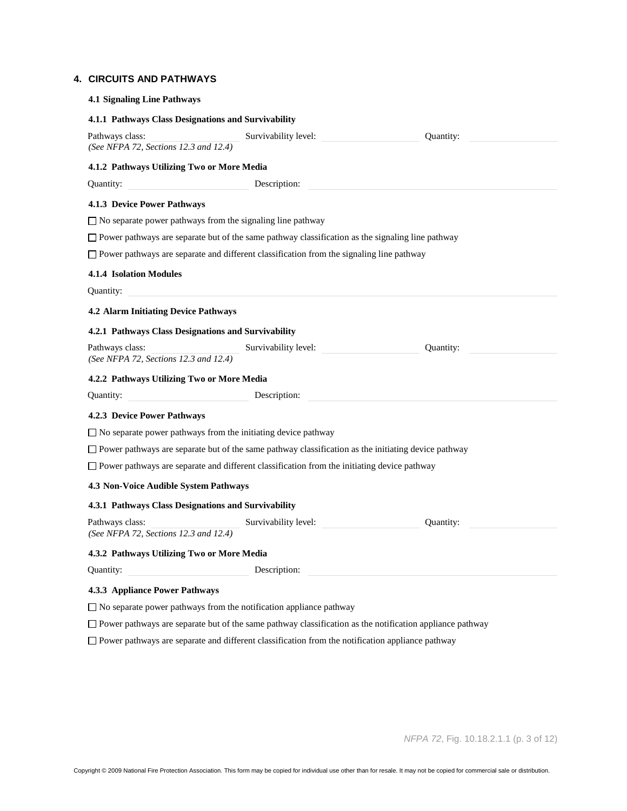### **4. CIRCUITS AND PATHWAYS**

| <b>4.1 Signaling Line Pathways</b>                       |                                                                                                            |           |
|----------------------------------------------------------|------------------------------------------------------------------------------------------------------------|-----------|
| 4.1.1 Pathways Class Designations and Survivability      |                                                                                                            |           |
| Pathways class:<br>(See NFPA 72, Sections 12.3 and 12.4) | Survivability level:                                                                                       | Quantity: |
| 4.1.2 Pathways Utilizing Two or More Media               |                                                                                                            |           |
| Quantity:                                                | Description:                                                                                               |           |
| <b>4.1.3 Device Power Pathways</b>                       |                                                                                                            |           |
|                                                          | $\Box$ No separate power pathways from the signaling line pathway                                          |           |
|                                                          | $\Box$ Power pathways are separate but of the same pathway classification as the signaling line pathway    |           |
|                                                          | $\Box$ Power pathways are separate and different classification from the signaling line pathway            |           |
| <b>4.1.4 Isolation Modules</b><br>Quantity:              |                                                                                                            |           |
| 4.2 Alarm Initiating Device Pathways                     |                                                                                                            |           |
| 4.2.1 Pathways Class Designations and Survivability      |                                                                                                            |           |
| Pathways class:<br>(See NFPA 72, Sections 12.3 and 12.4) | Survivability level:                                                                                       | Quantity: |
| 4.2.2 Pathways Utilizing Two or More Media               |                                                                                                            |           |
| Quantity:                                                | Description:                                                                                               |           |
| <b>4.2.3 Device Power Pathways</b>                       |                                                                                                            |           |
|                                                          | $\Box$ No separate power pathways from the initiating device pathway                                       |           |
|                                                          | $\Box$ Power pathways are separate but of the same pathway classification as the initiating device pathway |           |
|                                                          | $\Box$ Power pathways are separate and different classification from the initiating device pathway         |           |
| 4.3 Non-Voice Audible System Pathways                    |                                                                                                            |           |
| 4.3.1 Pathways Class Designations and Survivability      |                                                                                                            |           |
| Pathways class:<br>(See NFPA 72, Sections 12.3 and 12.4) | Survivability level:                                                                                       | Quantity: |
| 4.3.2 Pathways Utilizing Two or More Media               |                                                                                                            |           |
| Quantity:                                                | Description:                                                                                               |           |
| 4.3.3 Appliance Power Pathways                           |                                                                                                            |           |
|                                                          | $\Box$ No separate power pathways from the notification appliance pathway                                  |           |

Power pathways are separate but of the same pathway classification as the notification appliance pathway

Power pathways are separate and different classification from the notification appliance pathway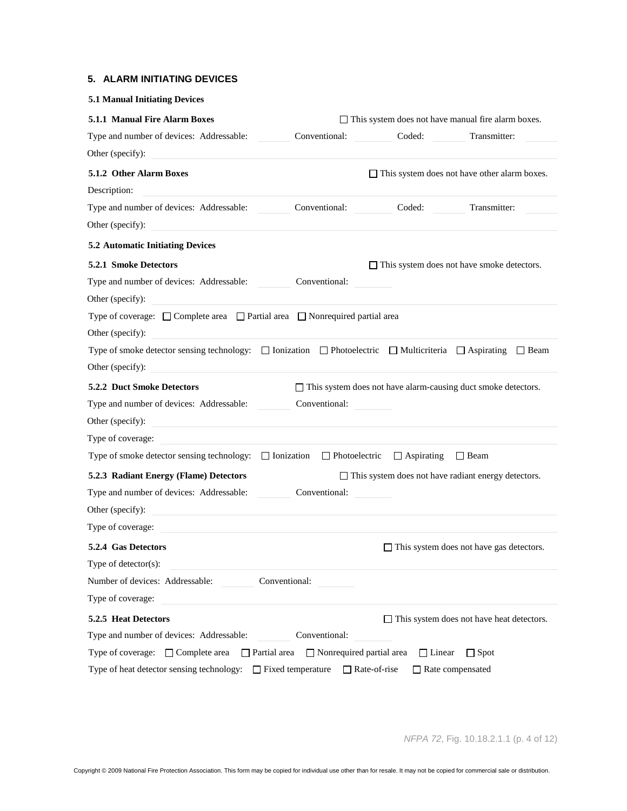## **5. ALARM INITIATING DEVICES**

| <b>5.1 Manual Initiating Devices</b>                                                                                                 |                                                                      |                     |                                                                      |
|--------------------------------------------------------------------------------------------------------------------------------------|----------------------------------------------------------------------|---------------------|----------------------------------------------------------------------|
| 5.1.1 Manual Fire Alarm Boxes                                                                                                        |                                                                      |                     | $\Box$ This system does not have manual fire alarm boxes.            |
| Type and number of devices: Addressable:                                                                                             | Conventional:                                                        | Coded:              | Transmitter:                                                         |
| Other (specify):                                                                                                                     |                                                                      |                     |                                                                      |
| 5.1.2 Other Alarm Boxes                                                                                                              |                                                                      |                     | $\Box$ This system does not have other alarm boxes.                  |
| Description:                                                                                                                         |                                                                      |                     |                                                                      |
| Type and number of devices: Addressable:                                                                                             | Conventional:                                                        | Coded:              | Transmitter:                                                         |
| Other (specify):                                                                                                                     |                                                                      |                     |                                                                      |
| <b>5.2 Automatic Initiating Devices</b>                                                                                              |                                                                      |                     |                                                                      |
| 5.2.1 Smoke Detectors                                                                                                                |                                                                      |                     | $\Box$ This system does not have smoke detectors.                    |
| Type and number of devices: Addressable:                                                                                             | Conventional:                                                        |                     |                                                                      |
| Other (specify):                                                                                                                     |                                                                      |                     |                                                                      |
| Type of coverage: $\Box$ Complete area $\Box$ Partial area $\Box$ Nonrequired partial area                                           |                                                                      |                     |                                                                      |
| Other (specify):                                                                                                                     |                                                                      |                     |                                                                      |
| Type of smoke detector sensing technology: $\Box$ Ionization $\Box$ Photoelectric $\Box$ Multicriteria $\Box$ Aspirating $\Box$ Beam |                                                                      |                     |                                                                      |
| Other (specify):                                                                                                                     |                                                                      |                     |                                                                      |
| <b>5.2.2 Duct Smoke Detectors</b>                                                                                                    |                                                                      |                     | $\Box$ This system does not have alarm-causing duct smoke detectors. |
| Type and number of devices: Addressable:                                                                                             | Conventional:                                                        |                     |                                                                      |
| Other (specify):<br><u> 1989 - Johann Barbara, martin amerikan ba</u>                                                                |                                                                      |                     |                                                                      |
| Type of coverage:                                                                                                                    |                                                                      |                     |                                                                      |
| Type of smoke detector sensing technology:                                                                                           | $\Box$ Ionization $\Box$ Photoelectric $\Box$ Aspirating $\Box$ Beam |                     |                                                                      |
| 5.2.3 Radiant Energy (Flame) Detectors                                                                                               |                                                                      |                     | $\Box$ This system does not have radiant energy detectors.           |
| Type and number of devices: Addressable:                                                                                             | Conventional:                                                        |                     |                                                                      |
| Other (specify):                                                                                                                     |                                                                      |                     |                                                                      |
| Type of coverage:                                                                                                                    |                                                                      |                     |                                                                      |
| 5.2.4 Gas Detectors                                                                                                                  |                                                                      |                     | $\Box$ This system does not have gas detectors.                      |
| Type of detector(s):                                                                                                                 |                                                                      |                     |                                                                      |
| Number of devices: Addressable:                                                                                                      | Conventional:                                                        |                     |                                                                      |
| Type of coverage:                                                                                                                    |                                                                      |                     |                                                                      |
| 5.2.5 Heat Detectors                                                                                                                 |                                                                      |                     | $\Box$ This system does not have heat detectors.                     |
| Type and number of devices: Addressable:                                                                                             | Conventional:                                                        |                     |                                                                      |
| Type of coverage: $\Box$ Complete area                                                                                               | $\Box$ Partial area $\Box$ Nonrequired partial area                  | $\Box$ Linear       | $\Box$ Spot                                                          |
| Type of heat detector sensing technology: $\Box$ Fixed temperature                                                                   |                                                                      | $\Box$ Rate-of-rise | $\Box$ Rate compensated                                              |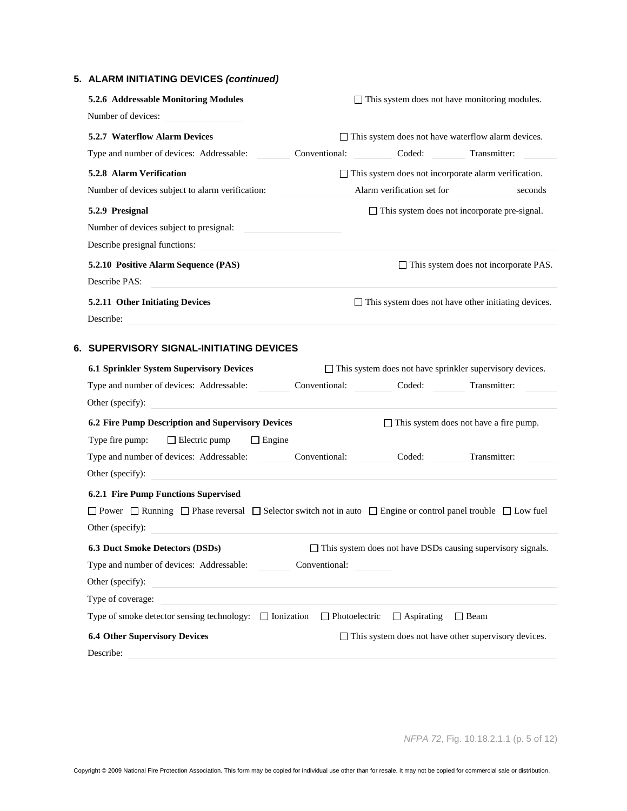# **5. ALARM INITIATING DEVICES** *(continued)*

| 5.2.6 Addressable Monitoring Modules<br>Number of devices:                                                                                  |               |                      |                            | $\Box$ This system does not have monitoring modules.            |
|---------------------------------------------------------------------------------------------------------------------------------------------|---------------|----------------------|----------------------------|-----------------------------------------------------------------|
| 5.2.7 Waterflow Alarm Devices                                                                                                               |               |                      |                            | $\Box$ This system does not have waterflow alarm devices.       |
| Type and number of devices: Addressable:                                                                                                    | Conventional: |                      | Coded:                     | Transmitter:                                                    |
| 5.2.8 Alarm Verification                                                                                                                    |               |                      |                            | $\Box$ This system does not incorporate alarm verification.     |
| Number of devices subject to alarm verification:                                                                                            |               |                      | Alarm verification set for | seconds                                                         |
| 5.2.9 Presignal                                                                                                                             |               |                      |                            | $\Box$ This system does not incorporate pre-signal.             |
| Number of devices subject to presignal:                                                                                                     |               |                      |                            |                                                                 |
| Describe presignal functions:                                                                                                               |               |                      |                            |                                                                 |
| 5.2.10 Positive Alarm Sequence (PAS)<br>Describe PAS:                                                                                       |               |                      |                            | $\Box$ This system does not incorporate PAS.                    |
| 5.2.11 Other Initiating Devices<br>Describe:                                                                                                |               |                      |                            | $\Box$ This system does not have other initiating devices.      |
| 6. SUPERVISORY SIGNAL-INITIATING DEVICES                                                                                                    |               |                      |                            |                                                                 |
| 6.1 Sprinkler System Supervisory Devices                                                                                                    |               |                      |                            | $\Box$ This system does not have sprinkler supervisory devices. |
| Type and number of devices: Addressable:                                                                                                    | Conventional: |                      | Coded:                     | Transmitter:                                                    |
| Other (specify):                                                                                                                            |               |                      |                            |                                                                 |
| 6.2 Fire Pump Description and Supervisory Devices                                                                                           |               |                      |                            | $\Box$ This system does not have a fire pump.                   |
| Type fire pump:<br>$\Box$ Electric pump<br>$\Box$ Engine                                                                                    |               |                      |                            |                                                                 |
| Type and number of devices: Addressable:                                                                                                    | Conventional: |                      | Coded:                     | Transmitter:                                                    |
| Other (specify):                                                                                                                            |               |                      |                            |                                                                 |
| 6.2.1 Fire Pump Functions Supervised                                                                                                        |               |                      |                            |                                                                 |
| $\Box$ Power $\Box$ Running $\Box$ Phase reversal $\Box$ Selector switch not in auto $\Box$ Engine or control panel trouble $\Box$ Low fuel |               |                      |                            |                                                                 |
| Other (specify):                                                                                                                            |               |                      |                            |                                                                 |
| 6.3 Duct Smoke Detectors (DSDs)                                                                                                             |               |                      |                            | □ This system does not have DSDs causing supervisory signals.   |
| Type and number of devices: Addressable:                                                                                                    | Conventional: |                      |                            |                                                                 |
| Other (specify):                                                                                                                            |               |                      |                            |                                                                 |
| Type of coverage:                                                                                                                           |               |                      |                            |                                                                 |
| Type of smoke detector sensing technology: $\Box$ Ionization                                                                                |               | $\Box$ Photoelectric | $\Box$ Aspirating          | $\Box$ Beam                                                     |
| <b>6.4 Other Supervisory Devices</b>                                                                                                        |               |                      |                            | $\Box$ This system does not have other supervisory devices.     |
| Describe:                                                                                                                                   |               |                      |                            |                                                                 |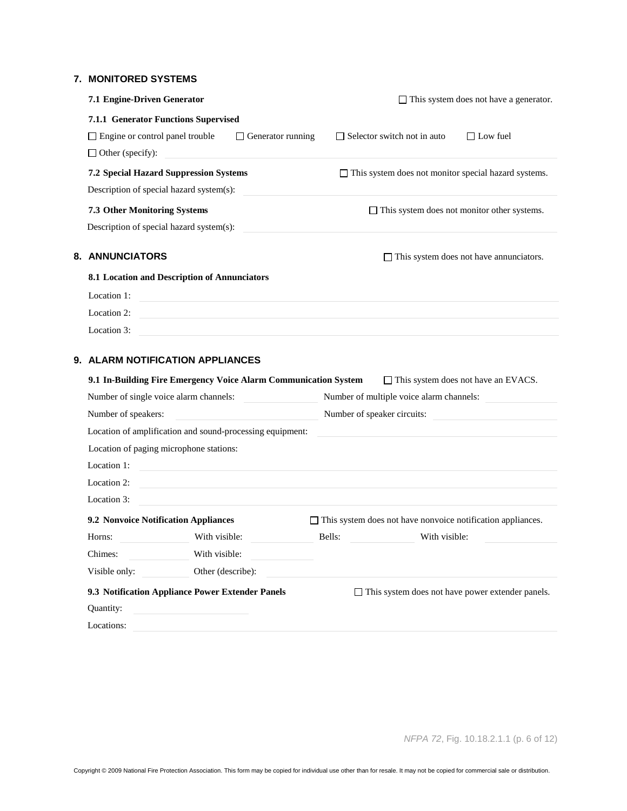### **7. MONITORED SYSTEMS**

| 7.1 Engine-Driven Generator                                                                                                         |                                          | $\Box$ This system does not have a generator.               |
|-------------------------------------------------------------------------------------------------------------------------------------|------------------------------------------|-------------------------------------------------------------|
| 7.1.1 Generator Functions Supervised                                                                                                |                                          |                                                             |
| $\Box$ Engine or control panel trouble<br>$\Box$ Generator running                                                                  | $\Box$ Selector switch not in auto       | $\Box$ Low fuel                                             |
| $\Box$ Other (specify):                                                                                                             |                                          |                                                             |
| <b>7.2 Special Hazard Suppression Systems</b>                                                                                       |                                          | $\Box$ This system does not monitor special hazard systems. |
| Description of special hazard system(s):                                                                                            |                                          |                                                             |
| <b>7.3 Other Monitoring Systems</b>                                                                                                 |                                          | $\Box$ This system does not monitor other systems.          |
| Description of special hazard system(s):                                                                                            |                                          |                                                             |
| 8. ANNUNCIATORS                                                                                                                     |                                          | $\Box$ This system does not have annunciators.              |
| 8.1 Location and Description of Annunciators                                                                                        |                                          |                                                             |
| Location 1:<br><u> 1989 - Johann Stein, mars an deutscher Stein und der Stein und der Stein und der Stein und der Stein und der</u> |                                          |                                                             |
| Location 2:                                                                                                                         |                                          |                                                             |
| Location 3:                                                                                                                         |                                          |                                                             |
| 9. ALARM NOTIFICATION APPLIANCES                                                                                                    |                                          |                                                             |
| 9.1 In-Building Fire Emergency Voice Alarm Communication System                                                                     |                                          | $\Box$ This system does not have an EVACS.                  |
| Number of single voice alarm channels:                                                                                              | Number of multiple voice alarm channels: |                                                             |
| Number of speakers:                                                                                                                 | Number of speaker circuits:              |                                                             |
| Location of amplification and sound-processing equipment:                                                                           |                                          |                                                             |

|                                             | Location of amplification and sound-processing equipment: |        |                                                                    |  |
|---------------------------------------------|-----------------------------------------------------------|--------|--------------------------------------------------------------------|--|
| Location of paging microphone stations:     |                                                           |        |                                                                    |  |
| Location 1:                                 |                                                           |        |                                                                    |  |
| Location 2:                                 |                                                           |        |                                                                    |  |
| Location 3:                                 |                                                           |        |                                                                    |  |
| <b>9.2 Nonvoice Notification Appliances</b> |                                                           |        | $\Box$ This system does not have nonvoice notification appliances. |  |
| Horns:                                      | With visible:                                             | Bells: | With visible:                                                      |  |
| Chimes:                                     | With visible:                                             |        |                                                                    |  |
| Visible only:                               | Other (describe):                                         |        |                                                                    |  |
|                                             | 9.3 Notification Appliance Power Extender Panels          |        | $\Box$ This system does not have power extender panels.            |  |
| Quantity:                                   |                                                           |        |                                                                    |  |
| Locations:                                  |                                                           |        |                                                                    |  |

*NFPA 72*, Fig. 10.18.2.1.1 (p. 6 of 12)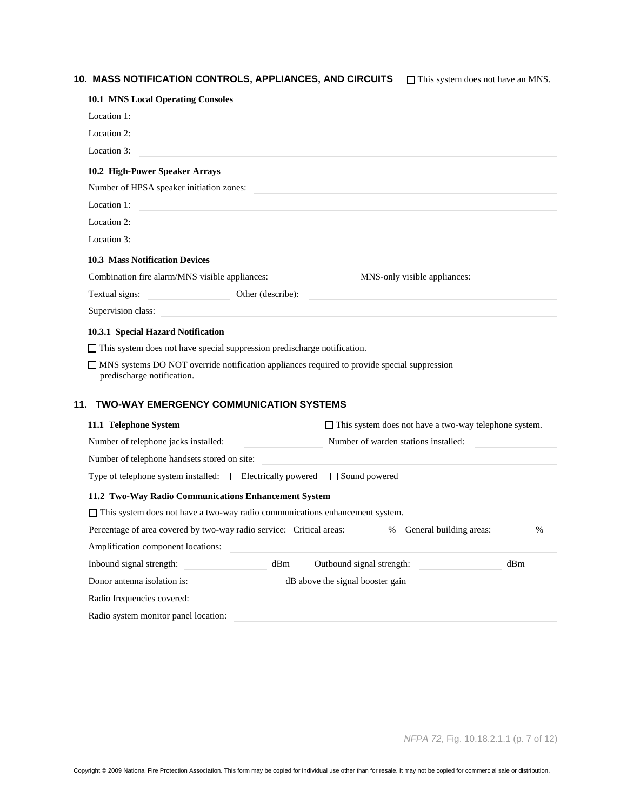# 10. MASS NOTIFICATION CONTROLS, APPLIANCES, AND CIRCUITS  $\Box$  This system does not have an MNS.

| <b>10.1 MNS Local Operating Consoles</b>                                             |                                                                                                                      |
|--------------------------------------------------------------------------------------|----------------------------------------------------------------------------------------------------------------------|
| Location 1:                                                                          |                                                                                                                      |
| Location 2:                                                                          |                                                                                                                      |
| Location 3:                                                                          |                                                                                                                      |
| 10.2 High-Power Speaker Arrays                                                       |                                                                                                                      |
| Number of HPSA speaker initiation zones:                                             |                                                                                                                      |
| Location 1:                                                                          | <u> 1989 - Johann Stein, mars an deutscher Stein und der Stein und der Stein und der Stein und der Stein und der</u> |
| Location 2:                                                                          |                                                                                                                      |
| Location 3:                                                                          |                                                                                                                      |
| <b>10.3 Mass Notification Devices</b>                                                |                                                                                                                      |
| Combination fire alarm/MNS visible appliances:                                       | MNS-only visible appliances:                                                                                         |
| Textual signs:                                                                       | Other (describe):                                                                                                    |
| Supervision class:                                                                   |                                                                                                                      |
| 10.3.1 Special Hazard Notification                                                   |                                                                                                                      |
| $\Box$ This system does not have special suppression predischarge notification.      |                                                                                                                      |
| predischarge notification.                                                           | $\Box$ MNS systems DO NOT override notification appliances required to provide special suppression                   |
| <b>TWO-WAY EMERGENCY COMMUNICATION SYSTEMS</b><br>11.                                |                                                                                                                      |
| 11.1 Telephone System                                                                | $\Box$ This system does not have a two-way telephone system.                                                         |
| Number of telephone jacks installed:                                                 | Number of warden stations installed:                                                                                 |
| Number of telephone handsets stored on site:                                         |                                                                                                                      |
| Type of telephone system installed: $\Box$ Electrically powered $\Box$ Sound powered |                                                                                                                      |
| 11.2 Two-Way Radio Communications Enhancement System                                 |                                                                                                                      |
| $\Box$ This system does not have a two-way radio communications enhancement system.  |                                                                                                                      |
|                                                                                      | Percentage of area covered by two-way radio service: Critical areas: % General building areas:<br>$\%$               |
| Amplification component locations:                                                   |                                                                                                                      |
| Inbound signal strength:                                                             | dBm<br>Outbound signal strength:<br>dBm                                                                              |
| Donor antenna isolation is:                                                          | dB above the signal booster gain                                                                                     |
| Radio frequencies covered:                                                           |                                                                                                                      |
| Radio system monitor panel location:                                                 |                                                                                                                      |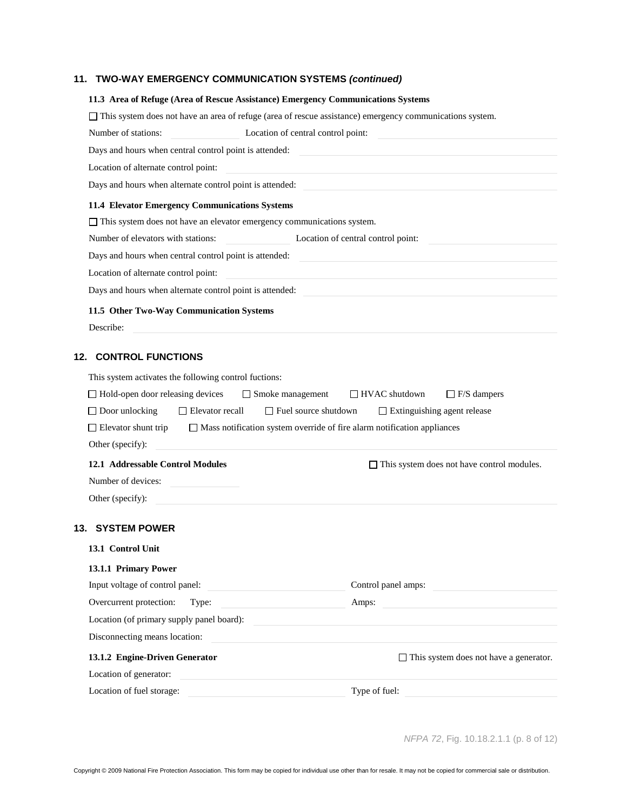# **11. TWO-WAY EMERGENCY COMMUNICATION SYSTEMS** *(continued)*

| 11.3 Area of Refuge (Area of Rescue Assistance) Emergency Communications Systems                                                                                                                       |                                                        |                                                                                                                                                                                                                                      |
|--------------------------------------------------------------------------------------------------------------------------------------------------------------------------------------------------------|--------------------------------------------------------|--------------------------------------------------------------------------------------------------------------------------------------------------------------------------------------------------------------------------------------|
|                                                                                                                                                                                                        |                                                        | This system does not have an area of refuge (area of rescue assistance) emergency communications system.                                                                                                                             |
| Number of stations:                                                                                                                                                                                    | Location of central control point:                     |                                                                                                                                                                                                                                      |
| Days and hours when central control point is attended:                                                                                                                                                 |                                                        |                                                                                                                                                                                                                                      |
| Location of alternate control point:                                                                                                                                                                   |                                                        | <u> 1980 - John Stein, Amerikaansk politiker (</u>                                                                                                                                                                                   |
|                                                                                                                                                                                                        |                                                        |                                                                                                                                                                                                                                      |
| 11.4 Elevator Emergency Communications Systems                                                                                                                                                         |                                                        |                                                                                                                                                                                                                                      |
| $\Box$ This system does not have an elevator emergency communications system.                                                                                                                          |                                                        |                                                                                                                                                                                                                                      |
| Number of elevators with stations:                                                                                                                                                                     |                                                        | Location of central control point:                                                                                                                                                                                                   |
| Days and hours when central control point is attended:                                                                                                                                                 |                                                        | <u> 1989 - Johann Stein, marwolaethau a bhann an t-</u>                                                                                                                                                                              |
| Location of alternate control point:                                                                                                                                                                   |                                                        |                                                                                                                                                                                                                                      |
| Days and hours when alternate control point is attended:                                                                                                                                               |                                                        |                                                                                                                                                                                                                                      |
| 11.5 Other Two-Way Communication Systems                                                                                                                                                               |                                                        |                                                                                                                                                                                                                                      |
| Describe:                                                                                                                                                                                              |                                                        |                                                                                                                                                                                                                                      |
| $\Box$ Hold-open door releasing devices<br>$\Box$ Door unlocking<br>$\Box$ Elevator recall<br>$\Box$ Elevator shunt trip<br>Other (specify):<br>12.1 Addressable Control Modules<br>Number of devices: | $\Box$ Smoke management<br>$\Box$ Fuel source shutdown | $\Box$ HVAC shutdown<br>$\Box$ F/S dampers<br>$\Box$ Extinguishing agent release<br>$\Box$ Mass notification system override of fire alarm notification appliances<br>$\Box$ This system does not have control modules.              |
| Other (specify):                                                                                                                                                                                       |                                                        |                                                                                                                                                                                                                                      |
| 13. SYSTEM POWER<br>13.1 Control Unit                                                                                                                                                                  |                                                        |                                                                                                                                                                                                                                      |
| 13.1.1 Primary Power                                                                                                                                                                                   |                                                        |                                                                                                                                                                                                                                      |
| Input voltage of control panel:                                                                                                                                                                        | <u> 1989 - Johann Barbara, martxa eta politikar</u>    | Control panel amps:                                                                                                                                                                                                                  |
| Overcurrent protection:                                                                                                                                                                                | Type:                                                  | Amps:                                                                                                                                                                                                                                |
| Location (of primary supply panel board):                                                                                                                                                              |                                                        |                                                                                                                                                                                                                                      |
| Disconnecting means location:                                                                                                                                                                          |                                                        | <u>and the control of the control of the control of the control of the control of the control of the control of the control of the control of the control of the control of the control of the control of the control of the con</u> |
| 13.1.2 Engine-Driven Generator                                                                                                                                                                         |                                                        | $\Box$ This system does not have a generator.                                                                                                                                                                                        |
| Location of generator:                                                                                                                                                                                 |                                                        |                                                                                                                                                                                                                                      |
| Location of fuel storage:                                                                                                                                                                              |                                                        | Type of fuel:                                                                                                                                                                                                                        |

*NFPA 72*, Fig. 10.18.2.1.1 (p. 8 of 12)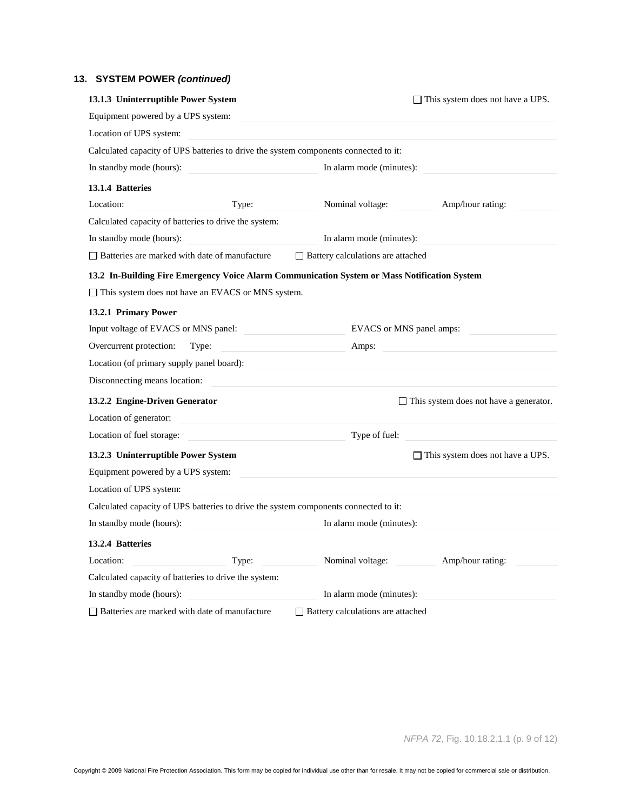# **13. SYSTEM POWER** *(continued)*

| 13.1.3 Uninterruptible Power System                                                          | $\Box$ This system does not have a UPS.       |
|----------------------------------------------------------------------------------------------|-----------------------------------------------|
| Equipment powered by a UPS system:                                                           |                                               |
| Location of UPS system:                                                                      |                                               |
| Calculated capacity of UPS batteries to drive the system components connected to it:         |                                               |
| In standby mode (hours):                                                                     | In alarm mode (minutes):                      |
| 13.1.4 Batteries                                                                             |                                               |
| Location:<br>Type:                                                                           | Nominal voltage:<br>Amp/hour rating:          |
| Calculated capacity of batteries to drive the system:                                        |                                               |
| In standby mode (hours):                                                                     | In alarm mode (minutes):                      |
| $\Box$ Batteries are marked with date of manufacture                                         | $\Box$ Battery calculations are attached      |
| 13.2 In-Building Fire Emergency Voice Alarm Communication System or Mass Notification System |                                               |
| $\Box$ This system does not have an EVACS or MNS system.                                     |                                               |
| 13.2.1 Primary Power                                                                         |                                               |
| Input voltage of EVACS or MNS panel:                                                         | EVACS or MNS panel amps:                      |
| Overcurrent protection:<br>Type:                                                             | Amps:                                         |
| Location (of primary supply panel board):                                                    |                                               |
| Disconnecting means location:                                                                |                                               |
| 13.2.2 Engine-Driven Generator                                                               | $\Box$ This system does not have a generator. |
| Location of generator:                                                                       |                                               |
| Location of fuel storage:                                                                    | Type of fuel:                                 |
| 13.2.3 Uninterruptible Power System                                                          | $\Box$ This system does not have a UPS.       |
| Equipment powered by a UPS system:                                                           |                                               |
| Location of UPS system:                                                                      |                                               |
| Calculated capacity of UPS batteries to drive the system components connected to it:         |                                               |
| In standby mode (hours):                                                                     | In alarm mode (minutes):                      |
| 13.2.4 Batteries                                                                             |                                               |
| Location:<br>Type:                                                                           | Nominal voltage:<br>Amp/hour rating:          |
| Calculated capacity of batteries to drive the system:                                        |                                               |
| In standby mode (hours):                                                                     | In alarm mode (minutes):                      |
| □ Batteries are marked with date of manufacture                                              | □ Battery calculations are attached           |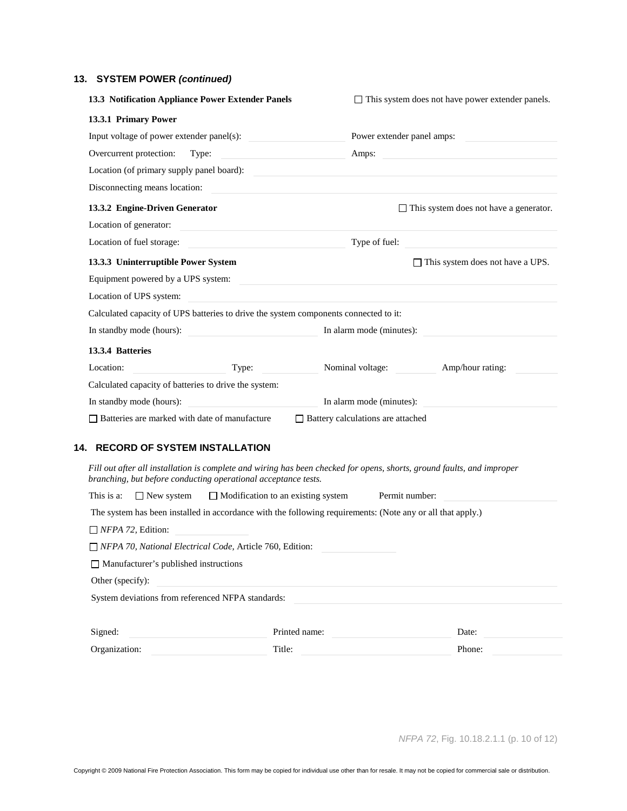# **13. SYSTEM POWER** *(continued)*

| 13.3 Notification Appliance Power Extender Panels                                                                                                                                                                                     | $\Box$ This system does not have power extender panels.                                                        |
|---------------------------------------------------------------------------------------------------------------------------------------------------------------------------------------------------------------------------------------|----------------------------------------------------------------------------------------------------------------|
| 13.3.1 Primary Power                                                                                                                                                                                                                  |                                                                                                                |
| Input voltage of power extender panel(s):                                                                                                                                                                                             | Power extender panel amps:                                                                                     |
| Overcurrent protection:<br>Type:<br>the control of the control of the control of                                                                                                                                                      | Amps:                                                                                                          |
| Location (of primary supply panel board):                                                                                                                                                                                             |                                                                                                                |
| Disconnecting means location:                                                                                                                                                                                                         | <u> 1980 - John Stein, mars and de families and de families and de families and de families and definition</u> |
| 13.3.2 Engine-Driven Generator                                                                                                                                                                                                        | $\Box$ This system does not have a generator.                                                                  |
| Location of generator:                                                                                                                                                                                                                |                                                                                                                |
| Location of fuel storage:<br><u> 1989 - Johann Stein, mars et al. 1990 - Ann an t-</u>                                                                                                                                                | Type of fuel:                                                                                                  |
| 13.3.3 Uninterruptible Power System                                                                                                                                                                                                   | $\Box$ This system does not have a UPS.                                                                        |
| Equipment powered by a UPS system:<br><u> a compare of the compare of the compare of the compare of the compare of the compare of the compare of the compare of the compare of the compare of the compare of the compare of the c</u> |                                                                                                                |
| Location of UPS system:                                                                                                                                                                                                               |                                                                                                                |
| Calculated capacity of UPS batteries to drive the system components connected to it:                                                                                                                                                  |                                                                                                                |
| In standby mode (hours):                                                                                                                                                                                                              | In alarm mode (minutes):                                                                                       |
| 13.3.4 Batteries                                                                                                                                                                                                                      |                                                                                                                |
| Location:<br>Type:                                                                                                                                                                                                                    | Nominal voltage:<br>Amp/hour rating:                                                                           |
| Calculated capacity of batteries to drive the system:                                                                                                                                                                                 |                                                                                                                |
| In standby mode (hours):                                                                                                                                                                                                              | In alarm mode (minutes):                                                                                       |
| $\Box$ Batteries are marked with date of manufacture                                                                                                                                                                                  | □ Battery calculations are attached                                                                            |
|                                                                                                                                                                                                                                       |                                                                                                                |
| 14. RECORD OF SYSTEM INSTALLATION                                                                                                                                                                                                     |                                                                                                                |
| Fill out after all installation is complete and wiring has been checked for opens, shorts, ground faults, and improper<br>branching, but before conducting operational acceptance tests.                                              |                                                                                                                |
| This is a:<br>$\Box$ Modification to an existing system<br>$\Box$ New system                                                                                                                                                          | Permit number:                                                                                                 |
| The system has been installed in accordance with the following requirements: (Note any or all that apply.)                                                                                                                            |                                                                                                                |
| $\Box$ NFPA 72, Edition:                                                                                                                                                                                                              |                                                                                                                |
| $\Box$ NFPA 70, National Electrical Code, Article 760, Edition:                                                                                                                                                                       |                                                                                                                |
| $\Box$ Manufacturer's published instructions                                                                                                                                                                                          |                                                                                                                |
| Other (specify):                                                                                                                                                                                                                      |                                                                                                                |
| System deviations from referenced NFPA standards:                                                                                                                                                                                     |                                                                                                                |
|                                                                                                                                                                                                                                       |                                                                                                                |
| Signed:<br>Printed name:                                                                                                                                                                                                              | Date:                                                                                                          |

Organization: Title: Title: Phone: Phone: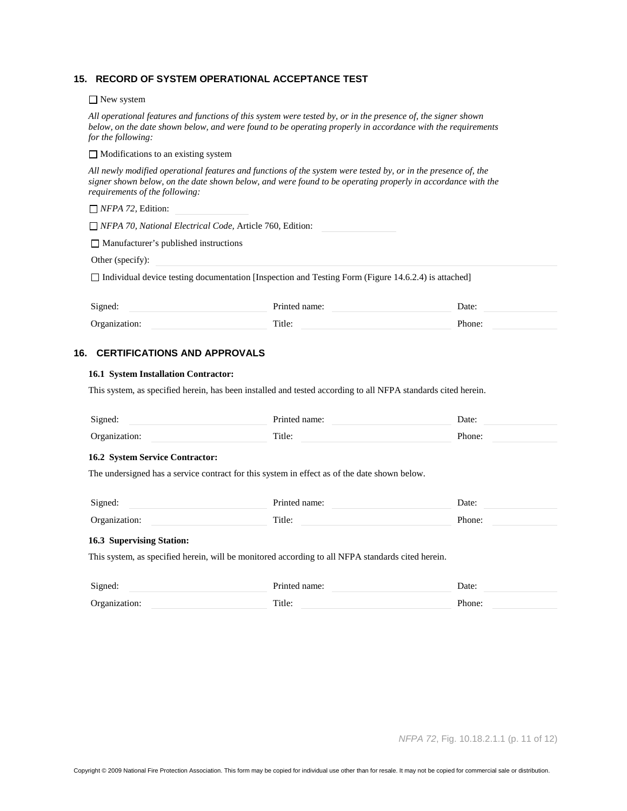#### **15. RECORD OF SYSTEM OPERATIONAL ACCEPTANCE TEST**

□ New system

*All operational features and functions of this system were tested by, or in the presence of, the signer shown below, on the date shown below, and were found to be operating properly in accordance with the requirements for the following:*

 $\Box$  Modifications to an existing system

*All newly modified operational features and functions of the system were tested by, or in the presence of, the signer shown below, on the date shown below, and were found to be operating properly in accordance with the requirements of the following:*

*NFPA 72,* Edition:

*NFPA 70, National Electrical Code,* Article 760, Edition:

Manufacturer's published instructions

Other (specify):

 $\Box$  Individual device testing documentation [Inspection and Testing Form (Figure 14.6.2.4) is attached]

| Signed:       | Printed name: | Date:  |
|---------------|---------------|--------|
| Organization: | Title:        | Phone: |

#### **16. CERTIFICATIONS AND APPROVALS**

#### **16.1 System Installation Contractor:**

This system, as specified herein, has been installed and tested according to all NFPA standards cited herein.

| Signed:                                | Printed name:                                                                                     | Date:         |
|----------------------------------------|---------------------------------------------------------------------------------------------------|---------------|
| Organization:                          | Title:                                                                                            | Phone:        |
| <b>16.2 System Service Contractor:</b> |                                                                                                   |               |
|                                        | The undersigned has a service contract for this system in effect as of the date shown below.      |               |
| Signed:                                | Printed name:                                                                                     | Date:         |
| Organization:                          | Title:                                                                                            | Phone:        |
| 16.3 Supervising Station:              |                                                                                                   |               |
|                                        | This system, as specified herein, will be monitored according to all NFPA standards cited herein. |               |
| Simod                                  | Printed name:                                                                                     | $\Gamma$ ater |

| $\sim$<br>,,, | . |
|---------------|---|
| ັ             |   |
|               |   |

*NFPA 72*, Fig. 10.18.2.1.1 (p. 11 of 12)